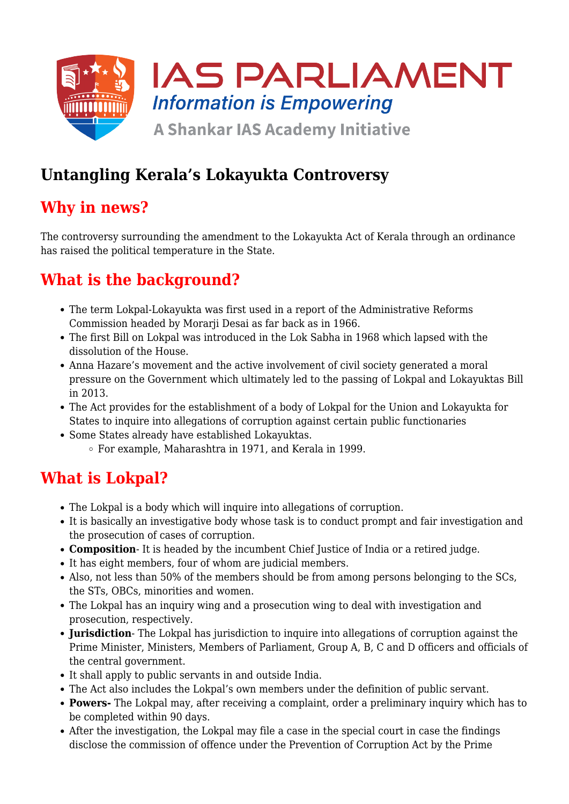

## **Untangling Kerala's Lokayukta Controversy**

#### **Why in news?**

The controversy surrounding the amendment to the Lokayukta Act of Kerala through an ordinance has raised the political temperature in the State.

# **What is the background?**

- The term Lokpal-Lokayukta was first used in a report of the Administrative Reforms Commission headed by Morarji Desai as far back as in 1966.
- The first Bill on Lokpal was introduced in the Lok Sabha in 1968 which lapsed with the dissolution of the House.
- Anna Hazare's movement and the active involvement of civil society generated a moral pressure on the Government which ultimately led to the passing of Lokpal and Lokayuktas Bill in 2013.
- The Act provides for the establishment of a body of Lokpal for the Union and Lokayukta for States to inquire into allegations of corruption against certain public functionaries
- Some States already have established Lokayuktas.
	- For example, Maharashtra in 1971, and Kerala in 1999.

#### **What is Lokpal?**

- The Lokpal is a body which will inquire into allegations of corruption.
- It is basically an investigative body whose task is to conduct prompt and fair investigation and the prosecution of cases of corruption.
- **Composition** It is headed by the incumbent Chief Justice of India or a retired judge.
- It has eight members, four of whom are judicial members.
- Also, not less than 50% of the members should be from among persons belonging to the SCs, the STs, OBCs, minorities and women.
- The Lokpal has an inquiry wing and a prosecution wing to deal with investigation and prosecution, respectively.
- **Jurisdiction** The Lokpal has jurisdiction to inquire into allegations of corruption against the Prime Minister, Ministers, Members of Parliament, Group A, B, C and D officers and officials of the central government.
- It shall apply to public servants in and outside India.
- The Act also includes the Lokpal's own members under the definition of public servant.
- **Powers-** The Lokpal may, after receiving a complaint, order a preliminary inquiry which has to be completed within 90 days.
- After the investigation, the Lokpal may file a case in the special court in case the findings disclose the commission of offence under the Prevention of Corruption Act by the Prime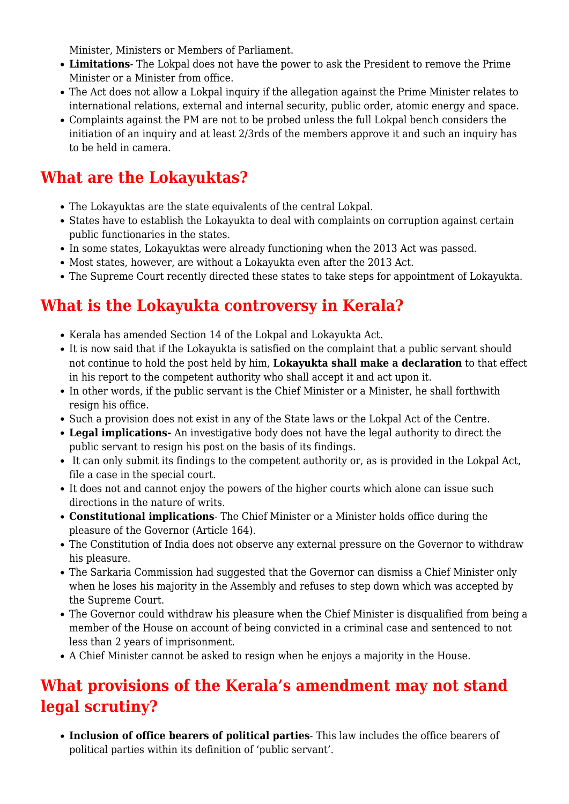Minister, Ministers or Members of Parliament.

- **Limitations** The Lokpal does not have the power to ask the President to remove the Prime Minister or a Minister from office.
- The Act does not allow a Lokpal inquiry if the allegation against the Prime Minister relates to international relations, external and internal security, public order, atomic energy and space.
- Complaints against the PM are not to be probed unless the full Lokpal bench considers the initiation of an inquiry and at least 2/3rds of the members approve it and such an inquiry has to be held in camera.

## **What are the Lokayuktas?**

- The Lokayuktas are the state equivalents of the central Lokpal.
- States have to establish the Lokayukta to deal with complaints on corruption against certain public functionaries in the states.
- In some states, Lokayuktas were already functioning when the 2013 Act was passed.
- Most states, however, are without a Lokayukta even after the 2013 Act.
- The Supreme Court recently directed these states to take steps for appointment of Lokayukta.

# **What is the Lokayukta controversy in Kerala?**

- Kerala has amended Section 14 of the Lokpal and Lokayukta Act.
- It is now said that if the Lokayukta is satisfied on the complaint that a public servant should not continue to hold the post held by him, **Lokayukta shall make a declaration** to that effect in his report to the competent authority who shall accept it and act upon it.
- In other words, if the public servant is the Chief Minister or a Minister, he shall forthwith resign his office.
- Such a provision does not exist in any of the State laws or the Lokpal Act of the Centre.
- **Legal implications-** An investigative body does not have the legal authority to direct the public servant to resign his post on the basis of its findings.
- It can only submit its findings to the competent authority or, as is provided in the Lokpal Act, file a case in the special court.
- It does not and cannot enjoy the powers of the higher courts which alone can issue such directions in the nature of writs.
- **Constitutional implications** The Chief Minister or a Minister holds office during the pleasure of the Governor (Article 164).
- The Constitution of India does not observe any external pressure on the Governor to withdraw his pleasure.
- The Sarkaria Commission had suggested that the Governor can dismiss a Chief Minister only when he loses his majority in the Assembly and refuses to step down which was accepted by the Supreme Court.
- The Governor could withdraw his pleasure when the Chief Minister is disqualified from being a member of the House on account of being convicted in a criminal case and sentenced to not less than 2 years of imprisonment.
- A Chief Minister cannot be asked to resign when he enjoys a majority in the House.

# **What provisions of the Kerala's amendment may not stand legal scrutiny?**

**Inclusion of office bearers of political parties**- This law includes the office bearers of political parties within its definition of 'public servant'.